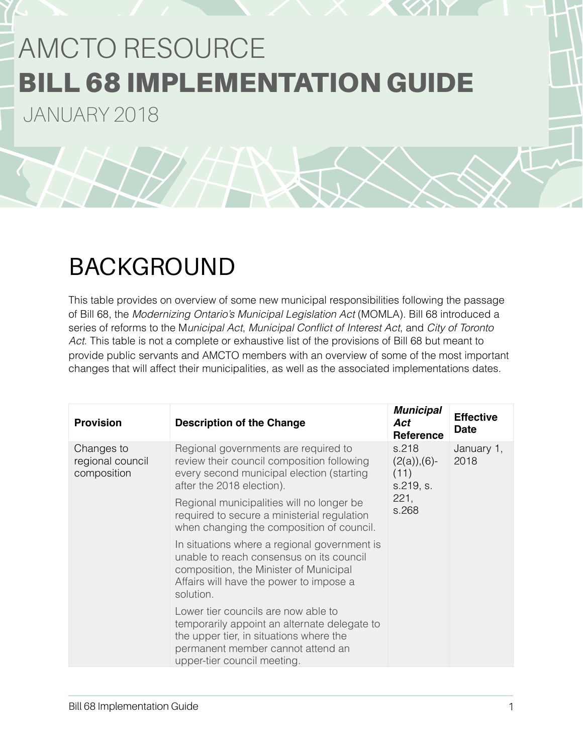# AMCTO RESOURCE BILL 68 IMPLEMENTATION GUIDE

JANUARY 2018

# BACKGROUND

This table provides on overview of some new municipal responsibilities following the passage of Bill 68, the *Modernizing Ontario's Municipal Legislation Act* (MOMLA). Bill 68 introduced a series of reforms to the M*unicipal Act*, *Municipal Conflict of Interest Act*, and *City of Toronto Act*. This table is not a complete or exhaustive list of the provisions of Bill 68 but meant to provide public servants and AMCTO members with an overview of some of the most important changes that will affect their municipalities, as well as the associated implementations dates.

| <b>Provision</b>                              | <b>Description of the Change</b>                                                                                                                                                                   | <b>Municipal</b><br>Act<br><b>Reference</b>                   | <b>Effective</b><br><b>Date</b> |
|-----------------------------------------------|----------------------------------------------------------------------------------------------------------------------------------------------------------------------------------------------------|---------------------------------------------------------------|---------------------------------|
| Changes to<br>regional council<br>composition | Regional governments are required to<br>review their council composition following<br>every second municipal election (starting<br>after the 2018 election).                                       | s.218<br>$(2(a)), (6)-$<br>(11)<br>s.219, s.<br>221,<br>s.268 | January 1,<br>2018              |
|                                               | Regional municipalities will no longer be<br>required to secure a ministerial regulation<br>when changing the composition of council.                                                              |                                                               |                                 |
|                                               | In situations where a regional government is<br>unable to reach consensus on its council<br>composition, the Minister of Municipal<br>Affairs will have the power to impose a<br>solution.         |                                                               |                                 |
|                                               | Lower tier councils are now able to<br>temporarily appoint an alternate delegate to<br>the upper tier, in situations where the<br>permanent member cannot attend an<br>upper-tier council meeting. |                                                               |                                 |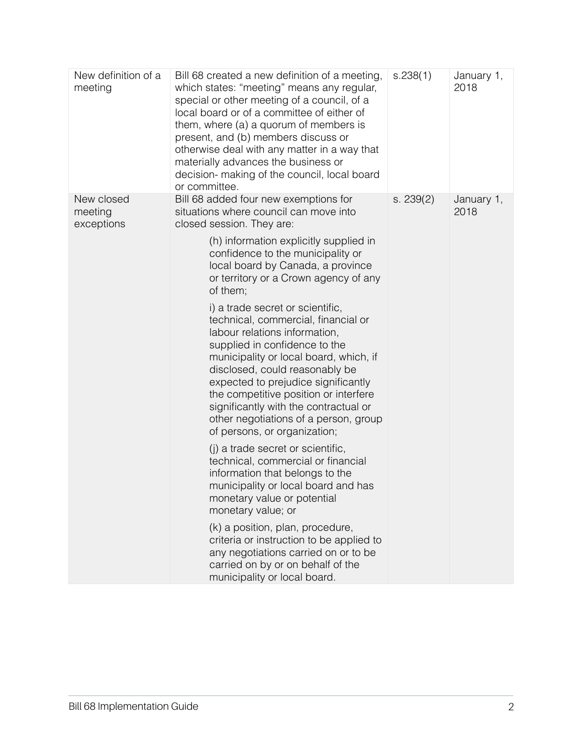| New definition of a<br>meeting      | Bill 68 created a new definition of a meeting,<br>which states: "meeting" means any regular,<br>special or other meeting of a council, of a<br>local board or of a committee of either of<br>them, where (a) a quorum of members is<br>present, and (b) members discuss or<br>otherwise deal with any matter in a way that<br>materially advances the business or<br>decision- making of the council, local board<br>or committee. | s.238(1)  | January 1,<br>2018 |
|-------------------------------------|------------------------------------------------------------------------------------------------------------------------------------------------------------------------------------------------------------------------------------------------------------------------------------------------------------------------------------------------------------------------------------------------------------------------------------|-----------|--------------------|
| New closed<br>meeting<br>exceptions | Bill 68 added four new exemptions for<br>situations where council can move into<br>closed session. They are:                                                                                                                                                                                                                                                                                                                       | s. 239(2) | January 1,<br>2018 |
|                                     | (h) information explicitly supplied in<br>confidence to the municipality or<br>local board by Canada, a province<br>or territory or a Crown agency of any<br>of them;                                                                                                                                                                                                                                                              |           |                    |
|                                     | i) a trade secret or scientific,<br>technical, commercial, financial or<br>labour relations information,<br>supplied in confidence to the<br>municipality or local board, which, if<br>disclosed, could reasonably be<br>expected to prejudice significantly<br>the competitive position or interfere<br>significantly with the contractual or<br>other negotiations of a person, group<br>of persons, or organization;            |           |                    |
|                                     | (i) a trade secret or scientific,<br>technical, commercial or financial<br>information that belongs to the<br>municipality or local board and has<br>monetary value or potential<br>monetary value; or                                                                                                                                                                                                                             |           |                    |
|                                     | (k) a position, plan, procedure,<br>criteria or instruction to be applied to<br>any negotiations carried on or to be<br>carried on by or on behalf of the<br>municipality or local board.                                                                                                                                                                                                                                          |           |                    |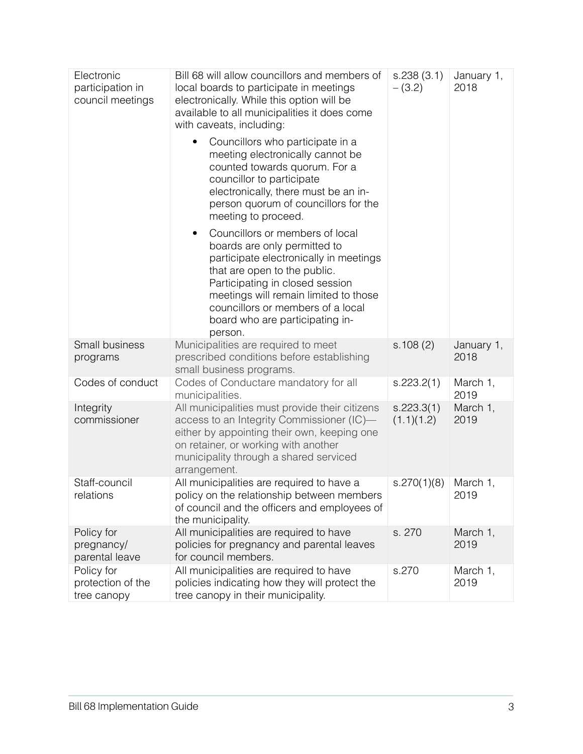| Electronic<br>participation in<br>council meetings | Bill 68 will allow councillors and members of<br>local boards to participate in meetings<br>electronically. While this option will be<br>available to all municipalities it does come<br>with caveats, including:                                                                                             | s.238(3.1)<br>$-(3.2)$   | January 1,<br>2018 |
|----------------------------------------------------|---------------------------------------------------------------------------------------------------------------------------------------------------------------------------------------------------------------------------------------------------------------------------------------------------------------|--------------------------|--------------------|
|                                                    | Councillors who participate in a<br>meeting electronically cannot be<br>counted towards quorum. For a<br>councillor to participate<br>electronically, there must be an in-<br>person quorum of councillors for the<br>meeting to proceed.                                                                     |                          |                    |
|                                                    | Councillors or members of local<br>٠<br>boards are only permitted to<br>participate electronically in meetings<br>that are open to the public.<br>Participating in closed session<br>meetings will remain limited to those<br>councillors or members of a local<br>board who are participating in-<br>person. |                          |                    |
| Small business<br>programs                         | Municipalities are required to meet<br>prescribed conditions before establishing<br>small business programs.                                                                                                                                                                                                  | s.108(2)                 | January 1,<br>2018 |
| Codes of conduct                                   | Codes of Conductare mandatory for all<br>municipalities.                                                                                                                                                                                                                                                      | s.223.2(1)               | March 1,<br>2019   |
| Integrity<br>commissioner                          | All municipalities must provide their citizens<br>access to an Integrity Commissioner (IC)-<br>either by appointing their own, keeping one<br>on retainer, or working with another<br>municipality through a shared serviced<br>arrangement.                                                                  | s.223.3(1)<br>(1.1)(1.2) | March 1,<br>2019   |
| Staff-council<br>relations                         | All municipalities are required to have a<br>policy on the relationship between members<br>of council and the officers and employees of<br>the municipality.                                                                                                                                                  | s.270(1)(8)              | March 1,<br>2019   |
| Policy for<br>pregnancy/<br>parental leave         | All municipalities are required to have<br>policies for pregnancy and parental leaves<br>for council members.                                                                                                                                                                                                 | s. 270                   | March 1,<br>2019   |
| Policy for<br>protection of the<br>tree canopy     | All municipalities are required to have<br>policies indicating how they will protect the<br>tree canopy in their municipality.                                                                                                                                                                                | s.270                    | March 1,<br>2019   |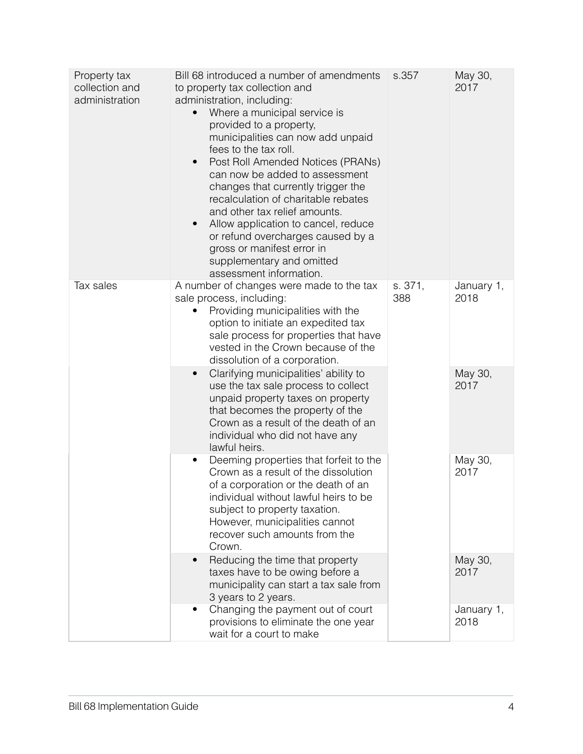| Property tax<br>collection and<br>administration | Bill 68 introduced a number of amendments<br>to property tax collection and<br>administration, including:<br>Where a municipal service is<br>$\bullet$<br>provided to a property,<br>municipalities can now add unpaid<br>fees to the tax roll.<br>Post Roll Amended Notices (PRANs)<br>can now be added to assessment<br>changes that currently trigger the<br>recalculation of charitable rebates<br>and other tax relief amounts.<br>Allow application to cancel, reduce<br>$\bullet$<br>or refund overcharges caused by a<br>gross or manifest error in<br>supplementary and omitted<br>assessment information. | s.357          | May 30,<br>2017    |
|--------------------------------------------------|---------------------------------------------------------------------------------------------------------------------------------------------------------------------------------------------------------------------------------------------------------------------------------------------------------------------------------------------------------------------------------------------------------------------------------------------------------------------------------------------------------------------------------------------------------------------------------------------------------------------|----------------|--------------------|
| Tax sales                                        | A number of changes were made to the tax<br>sale process, including:<br>Providing municipalities with the<br>option to initiate an expedited tax<br>sale process for properties that have<br>vested in the Crown because of the<br>dissolution of a corporation.                                                                                                                                                                                                                                                                                                                                                    | s. 371,<br>388 | January 1,<br>2018 |
|                                                  | Clarifying municipalities' ability to<br>$\bullet$<br>use the tax sale process to collect<br>unpaid property taxes on property<br>that becomes the property of the<br>Crown as a result of the death of an<br>individual who did not have any<br>lawful heirs.                                                                                                                                                                                                                                                                                                                                                      |                | May 30,<br>2017    |
|                                                  | Deeming properties that forfeit to the<br>Crown as a result of the dissolution<br>of a corporation or the death of an<br>individual without lawful heirs to be<br>subject to property taxation.<br>However, municipalities cannot<br>recover such amounts from the<br>Crown.                                                                                                                                                                                                                                                                                                                                        |                | May 30,<br>2017    |
|                                                  | Reducing the time that property<br>taxes have to be owing before a<br>municipality can start a tax sale from<br>3 years to 2 years.                                                                                                                                                                                                                                                                                                                                                                                                                                                                                 |                | May 30,<br>2017    |
|                                                  | Changing the payment out of court<br>$\bullet$<br>provisions to eliminate the one year<br>wait for a court to make                                                                                                                                                                                                                                                                                                                                                                                                                                                                                                  |                | January 1,<br>2018 |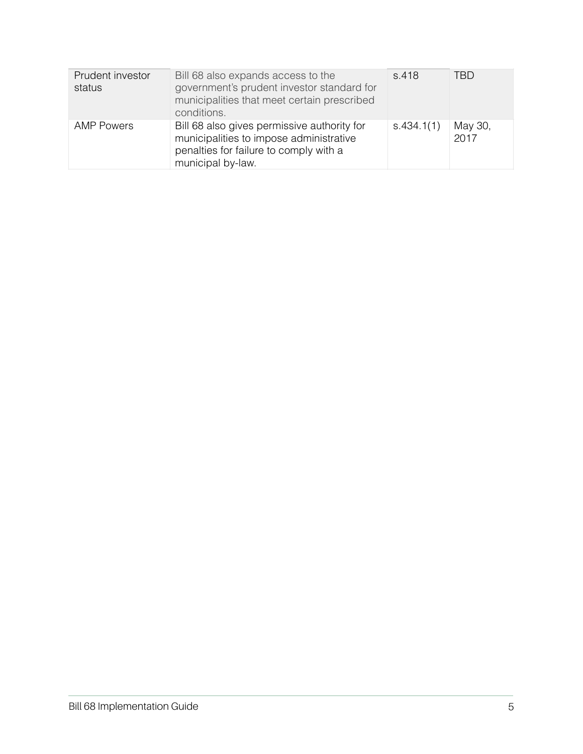| Prudent investor<br>status | Bill 68 also expands access to the<br>government's prudent investor standard for<br>municipalities that meet certain prescribed<br>conditions.        | s.418      | TBD.            |
|----------------------------|-------------------------------------------------------------------------------------------------------------------------------------------------------|------------|-----------------|
| <b>AMP Powers</b>          | Bill 68 also gives permissive authority for<br>municipalities to impose administrative<br>penalties for failure to comply with a<br>municipal by-law. | s.434.1(1) | May 30,<br>2017 |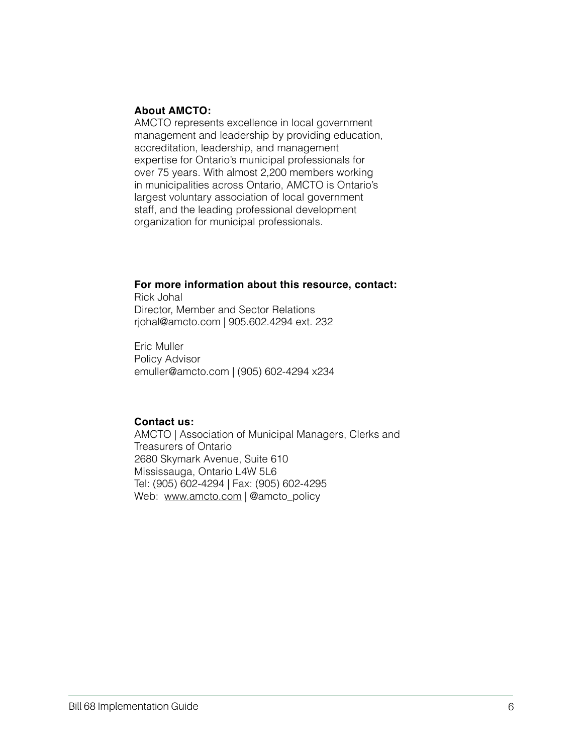#### **About AMCTO:**

AMCTO represents excellence in local government management and leadership by providing education, accreditation, leadership, and management expertise for Ontario's municipal professionals for over 75 years. With almost 2,200 members working in municipalities across Ontario, AMCTO is Ontario's largest voluntary association of local government staff, and the leading professional development organization for municipal professionals.

## **For more information about this resource, contact:**

Rick Johal Director, Member and Sector Relations rjohal@amcto.com | 905.602.4294 ext. 232

Eric Muller Policy Advisor [emuller@amcto.com](mailto:emuller@amcto.com) | (905) 602-4294 x234

## **Contact us:**

AMCTO | Association of Municipal Managers, Clerks and Treasurers of Ontario 2680 Skymark Avenue, Suite 610 Mississauga, Ontario L4W 5L6 Tel: (905) 602-4294 | Fax: (905) 602-4295 Web: [www.amcto.com](http://www.amcto.com) | @amcto\_policy